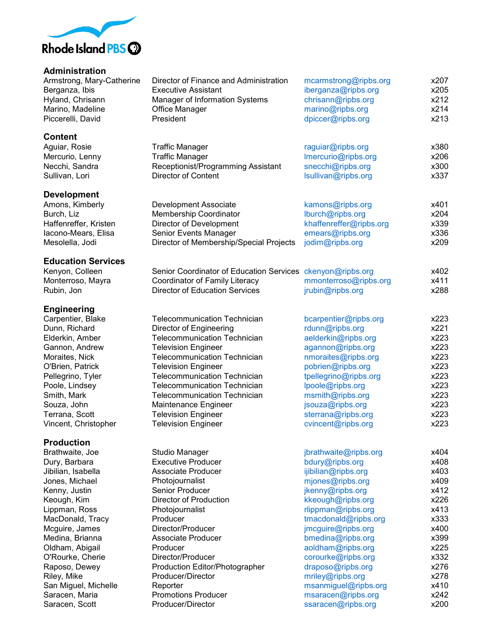

**Administration**<br>Armstrong, Mary-Catherine

### **Content**

## **Development**

## **Education Services**

| Kenyon, Colleen   | Senior Coordinator of Education Services ckenyon@ripbs.org |                       | x402 |
|-------------------|------------------------------------------------------------|-----------------------|------|
| Monterroso, Mayra | Coordinator of Family Literacy                             | mmonterroso@ripbs.org | x411 |
| Rubin, Jon        | Director of Education Services                             | jrubin@ripbs.org      | x288 |

## **Engineering**

# **Production**

| Armstrong, Mary-Catherine<br>Berganza, Ibis<br>Hyland, Chrisann | Director of Finance and Administration<br><b>Executive Assistant</b><br>Manager of Information Systems | mcarmstrong@ripbs.org<br>iberganza@ripbs.org<br>chrisann@ripbs.org | x207<br>x205<br>x212 |
|-----------------------------------------------------------------|--------------------------------------------------------------------------------------------------------|--------------------------------------------------------------------|----------------------|
| Marino, Madeline<br>Piccerelli, David                           | Office Manager<br>President                                                                            | marino@ripbs.org<br>dpiccer@ripbs.org                              | x214<br>x213         |
| <b>Content</b>                                                  |                                                                                                        |                                                                    |                      |
| Aguiar, Rosie                                                   | <b>Traffic Manager</b>                                                                                 | raguiar@ripbs.org                                                  | x380                 |
| Mercurio, Lenny                                                 | <b>Traffic Manager</b>                                                                                 | Imercurio@ripbs.org                                                | x206                 |
| Necchi, Sandra                                                  | Receptionist/Programming Assistant                                                                     | snecchi@ripbs.org                                                  | x300                 |
| Sullivan, Lori                                                  | <b>Director of Content</b>                                                                             | lsullivan@ripbs.org                                                | x337                 |
| <b>Development</b>                                              |                                                                                                        |                                                                    |                      |
| Amons, Kimberly                                                 | Development Associate                                                                                  | kamons@ripbs.org                                                   | x401                 |
| Burch, Liz                                                      | Membership Coordinator                                                                                 | lburch@ripbs.org                                                   | x204                 |
| Haffenreffer, Kristen                                           | Director of Development                                                                                | khaffenreffer@ripbs.org                                            | x339                 |
| Iacono-Mears, Elisa                                             | Senior Events Manager                                                                                  | emears@ripbs.org                                                   | x336                 |
| Mesolella, Jodi                                                 | Director of Membership/Special Projects                                                                | jodim@ripbs.org                                                    | x209                 |
| <b>Education Services</b>                                       |                                                                                                        |                                                                    |                      |
| Kenyon, Colleen                                                 | Senior Coordinator of Education Services                                                               | ckenyon@ripbs.org                                                  | x402                 |
| Monterroso, Mayra                                               | Coordinator of Family Literacy                                                                         | mmonterroso@ripbs.org                                              | x411                 |
| Rubin, Jon                                                      | <b>Director of Education Services</b>                                                                  | jrubin@ripbs.org                                                   | x288                 |
| <b>Engineering</b>                                              |                                                                                                        |                                                                    |                      |
| Carpentier, Blake                                               | <b>Telecommunication Technician</b>                                                                    | bcarpentier@ripbs.org                                              | x223                 |
| Dunn, Richard                                                   | <b>Director of Engineering</b>                                                                         | rdunn@ripbs.org                                                    | x221                 |
| Elderkin, Amber                                                 | <b>Telecommunication Technician</b>                                                                    | aelderkin@ripbs.org                                                | x223                 |
| Gannon, Andrew                                                  | <b>Television Engineer</b>                                                                             | agannon@ripbs.org                                                  | x223                 |
| Moraites, Nick                                                  | <b>Telecommunication Technician</b>                                                                    | nmoraites@ripbs.org                                                | x223                 |
| O'Brien, Patrick                                                | <b>Television Engineer</b>                                                                             | pobrien@ripbs.org                                                  | x223                 |
| Pellegrino, Tyler                                               | <b>Telecommunication Technician</b>                                                                    | tpellegrino@ripbs.org                                              | x223                 |
| Poole, Lindsey                                                  | <b>Telecommunication Technician</b>                                                                    | lpoole@ripbs.org                                                   | x223                 |
| Smith, Mark                                                     | <b>Telecommunication Technician</b>                                                                    | msmith@ripbs.org                                                   | x223                 |
| Souza, John                                                     | Maintenance Engineer                                                                                   | jsouza@ripbs.org                                                   | x223                 |
| Terrana, Scott                                                  | <b>Television Engineer</b>                                                                             | sterrana@ripbs.org                                                 | x223                 |
| Vincent, Christopher                                            | <b>Television Engineer</b>                                                                             | cvincent@ripbs.org                                                 | x223                 |
| <b>Production</b>                                               |                                                                                                        |                                                                    |                      |
| Brathwaite, Joe                                                 | <b>Studio Manager</b>                                                                                  | jbrathwaite@ripbs.org                                              | x404                 |
| Dury, Barbara                                                   | <b>Executive Producer</b>                                                                              | bdury@ripbs.org                                                    | x408                 |
| Jibilian, Isabella                                              | <b>Associate Producer</b>                                                                              | ijibilian@ripbs.org                                                | x403                 |
| Jones, Michael                                                  | Photojournalist                                                                                        | mjones@ripbs.org                                                   | x409                 |
| Kenny, Justin                                                   | Senior Producer                                                                                        | jkenny@ripbs.org                                                   | x412                 |
| Keough, Kim                                                     | Director of Production                                                                                 | kkeough@ripbs.org                                                  | x226                 |
| Lippman, Ross                                                   | Photojournalist                                                                                        | rlippman@ripbs.org                                                 | x413                 |
| MacDonald, Tracy                                                | Producer                                                                                               | tmacdonald@ripbs.org                                               | x333                 |
| Mcguire, James                                                  | Director/Producer                                                                                      | jmcguire@ripbs.org                                                 | x400                 |
| Medina, Brianna                                                 | Associate Producer                                                                                     | bmedina@ripbs.org                                                  | x399                 |
| Oldham, Abigail                                                 | Producer                                                                                               | aoldham@ripbs.org                                                  | x225                 |
| O'Rourke, Cherie                                                | Director/Producer                                                                                      | corourke@ripbs.org                                                 | x332                 |
| Raposo, Dewey                                                   | Production Editor/Photographer                                                                         | draposo@ripbs.org                                                  | x276                 |
| Riley, Mike                                                     | Producer/Director                                                                                      | mriley@ripbs.org                                                   | x278                 |
| San Miguel, Michelle                                            | Reporter                                                                                               | msanmiguel@ripbs.org                                               | x410                 |
| Saracen, Maria                                                  | <b>Promotions Producer</b>                                                                             | msaracen@ripbs.org                                                 | x242                 |
| Saracen, Scott                                                  | Producer/Director                                                                                      | ssaracen@ripbs.org                                                 | x200                 |